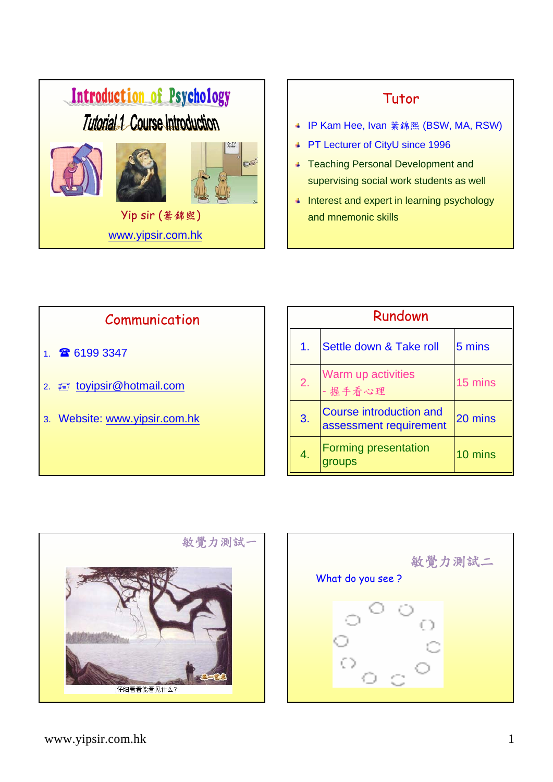

### Tutor

- IP Kam Hee, Ivan 葉錦熙 (BSW, MA, RSW)
- PT Lecturer of CityU since 1996
- **Teaching Personal Development and** supervising social work students as well
- **Interest and expert in learning psychology** and mnemonic skills





| 敏覺力測試二<br>What do you see ? |    |  |  |
|-----------------------------|----|--|--|
|                             | ť, |  |  |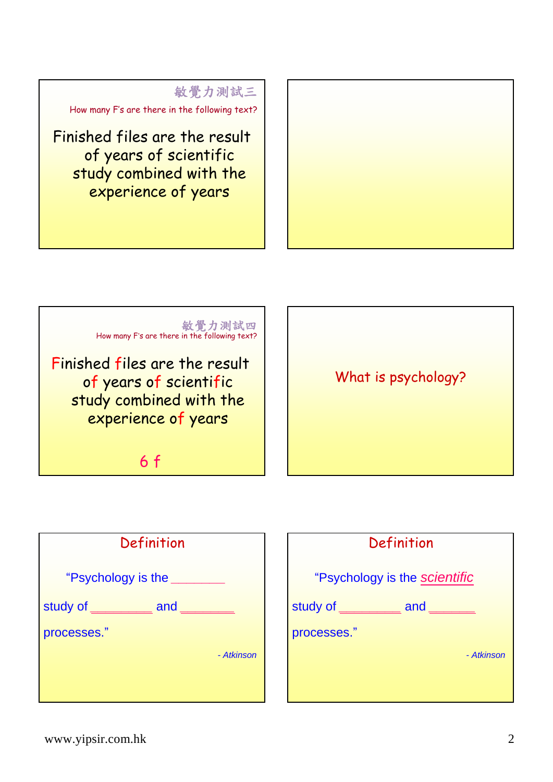



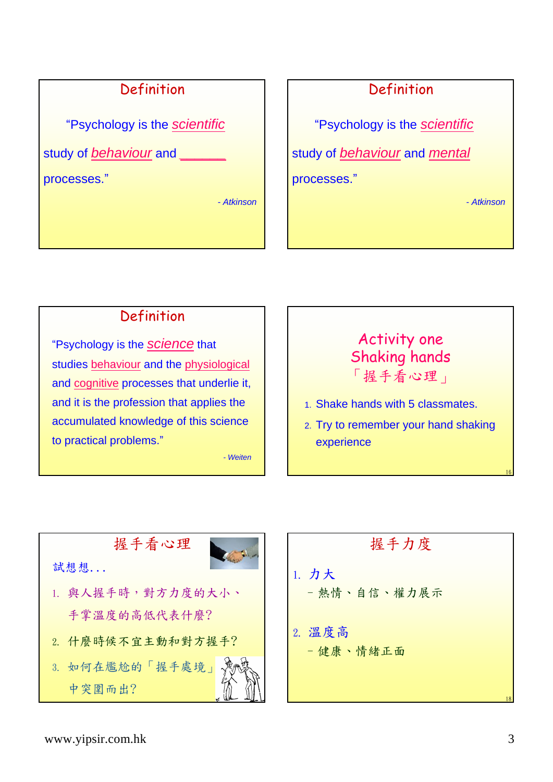## Definition

"Psychology is the *scientific*

study of *behaviour* and *\_\_\_\_\_\_*

processes."

*- Atkinson*

## Definition

"Psychology is the *scientific*

study of *behaviour* and *mental*

processes."

*- Atkinson*

## Definition

"Psychology is the *science* that studies behaviour and the physiological and cognitive processes that underlie it, and it is the profession that applies the accumulated knowledge of this science to practical problems."

*- Weiten*

## Activity one Shaking hands 「握手看心理」

- 1. Shake hands with 5 classmates.
- 2. Try to remember your hand shaking experience



握手力度 1. 力大 –熱情、自信、權力展示 2. 溫度高 –健康、情緒正面 18

16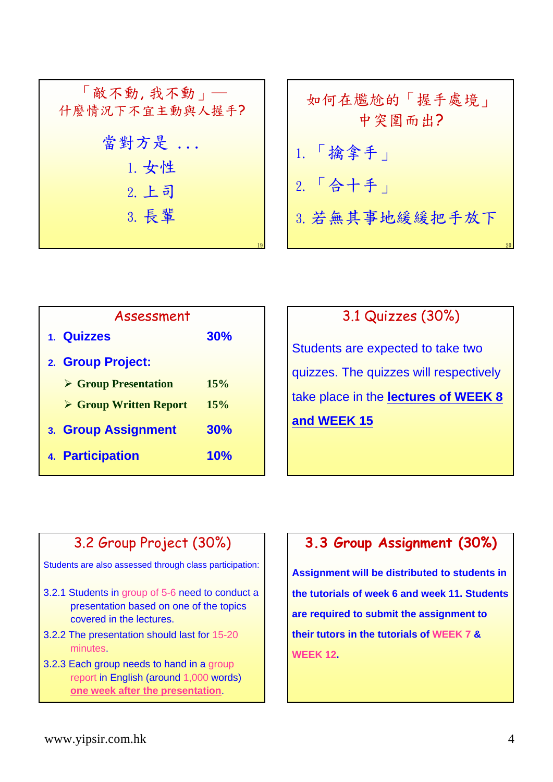| 「敵不動, 我不動」<br>什麼情況下不宜主動與人握手? |
|------------------------------|
| 當對方是                         |
| 1. 女性                        |
| 2. 上司                        |
| 3. 長輩                        |
|                              |

| 如何在尷尬的「握手處境」<br>中突圍而出? |  |  |
|------------------------|--|--|
| $1.$ $\frac{1}{16}$ 拿手 |  |  |
| $2.$ 「合十手」             |  |  |
| 3. 若無其事地緩緩把手放下         |  |  |

| Assessment                            |            |
|---------------------------------------|------------|
| 1. Quizzes                            | 30%        |
| 2. Group Project:                     |            |
| <b>► Group Presentation</b>           | 15%        |
| $\triangleright$ Group Written Report | 15%        |
| 3. Group Assignment                   | 30%        |
| 4. Participation                      | <b>10%</b> |

## 3.1 Quizzes (30%)

Students are expected to take two quizzes. The quizzes will respectively take place in the **lectures of WEEK 8 and WEEK 15**

## 3.2 Group Project (30%)

Students are also assessed through class participation:

- 3.2.1 Students in group of 5-6 need to conduct a presentation based on one of the topics covered in the lectures.
- 3.2.2 The presentation should last for 15-20 minutes.
- 3.2.3 Each group needs to hand in a group report in English (around 1,000 words) **one week after the presentation**.

## **3.3 Group Assignment (30%)**

**Assignment will be distributed to students in the tutorials of week 6 and week 11. Students are required to submit the assignment to their tutors in the tutorials of WEEK 7 & WEEK 12.**

20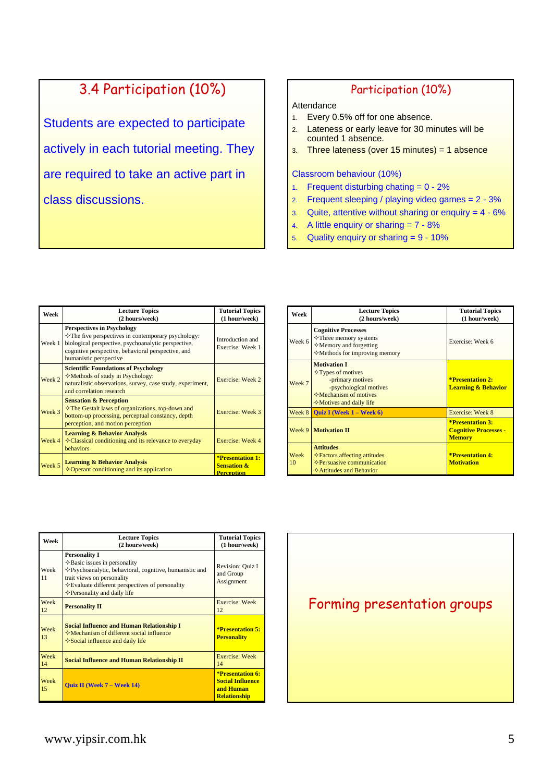# 3.4 Participation (10%)

Students are expected to participate actively in each tutorial meeting. They are required to take an active part in class discussions.

#### Participation (10%)

#### Attendance

- 1. Every 0.5% off for one absence.
- 2. Lateness or early leave for 30 minutes will be counted 1 absence.
- $3.$  Three lateness (over 15 minutes) = 1 absence

#### Classroom behaviour (10%)

- 1. Frequent disturbing chating = 0 2%
- 2. Frequent sleeping / playing video games  $= 2 3\%$
- 3. Quite, attentive without sharing or enquiry  $= 4 6\%$
- 4. A little enquiry or sharing = 7 8%
- 5. Quality enquiry or sharing = 9 10%

| Week   | <b>Lecture Topics</b><br>(2 hours/week)                                                                                                                                                                                        | <b>Tutorial Topics</b><br>(1 hour/week)                                |
|--------|--------------------------------------------------------------------------------------------------------------------------------------------------------------------------------------------------------------------------------|------------------------------------------------------------------------|
| Week 1 | <b>Perspectives in Psychology</b><br>☆The five perspectives in contemporary psychology:<br>biological perspective, psychoanalytic perspective,<br>cognitive perspective, behavioral perspective, and<br>humanistic perspective | Introduction and<br>Exercise: Week 1                                   |
| Week 2 | <b>Scientific Foundations of Psychology</b><br>$\Diamond$ Methods of study in Psychology:<br>naturalistic observations, survey, case study, experiment,<br>and correlation research                                            | Exercise: Week 2                                                       |
| Week 3 | <b>Sensation &amp; Perception</b><br><b>∻The Gestalt laws of organizations, top-down and</b><br>bottom-up processing, perceptual constancy, depth<br>perception, and motion perception                                         | Exercise: Week 3                                                       |
| Week 4 | <b>Learning &amp; Behavior Analysis</b><br>$\Diamond$ Classical conditioning and its relevance to everyday<br>behaviors                                                                                                        | Exercise: Week 4                                                       |
| Week 5 | <b>Learning &amp; Behavior Analysis</b><br>$\diamond$ Operant conditioning and its application                                                                                                                                 | <b>*Presentation 1:</b><br><b>Sensation &amp;</b><br><b>Perception</b> |

| Week       | <b>Lecture Topics</b><br>(2 hours/week)                                                                                                                                  | <b>Tutorial Topics</b><br>(1 hour/week)                                  |
|------------|--------------------------------------------------------------------------------------------------------------------------------------------------------------------------|--------------------------------------------------------------------------|
| Week 6     | <b>Cognitive Processes</b><br>$\Diamond$ Three memory systems<br>$\Diamond$ Memory and forgetting<br>$\diamond$ Methods for improving memory                             | Exercise: Week 6                                                         |
| Week 7     | <b>Motivation I</b><br>$\Diamond$ Types of motives<br>-primary motives<br>-psychological motives<br>$\Diamond$ Mechanism of motives<br>$\Diamond$ Motives and daily life | <b>*Presentation 2:</b><br><b>Learning &amp; Behavior</b>                |
| Week 8     | <b>Ouiz I</b> (Week $1 -$ Week $6$ )                                                                                                                                     | Exercise: Week 8                                                         |
|            | <b>Week 9   Motivation II</b>                                                                                                                                            | <b>*Presentation 3:</b><br><b>Cognitive Processes -</b><br><b>Memory</b> |
| Week<br>10 | <b>Attitudes</b><br>$\Diamond$ Factors affecting attitudes<br>$\Diamond$ Persuasive communication<br><b>☆Attitudes and Behavior</b>                                      | <b>*Presentation 4:</b><br><b>Motivation</b>                             |

| Week       | <b>Lecture Topics</b><br>(2 hours/week)                                                                                                                                                                                                                      | <b>Tutorial Topics</b><br>(1 hour/week)                                         |
|------------|--------------------------------------------------------------------------------------------------------------------------------------------------------------------------------------------------------------------------------------------------------------|---------------------------------------------------------------------------------|
| Week<br>11 | <b>Personality I</b><br>$\Diamond$ Basic issues in personality<br>◆Psychoanalytic, behavioral, cognitive, humanistic and<br>trait views on personality<br>$\Diamond$ Evaluate different perspectives of personality<br>$\Diamond$ Personality and daily life | Revision: Quiz I<br>and Group<br>Assignment                                     |
| Week<br>12 | <b>Personality II</b>                                                                                                                                                                                                                                        | Exercise: Week<br>12                                                            |
| Week<br>13 | <b>Social Influence and Human Relationship I</b><br>$\diamond$ Mechanism of different social influence<br>$\diamond$ Social influence and daily life                                                                                                         | *Presentation 5:<br><b>Personality</b>                                          |
| Week<br>14 | <b>Social Influence and Human Relationship II</b>                                                                                                                                                                                                            | Exercise: Week<br>14                                                            |
| Week<br>15 | <b>Ouiz II (Week 7 – Week 14)</b>                                                                                                                                                                                                                            | *Presentation 6:<br><b>Social Influence</b><br>and Human<br><b>Relationship</b> |